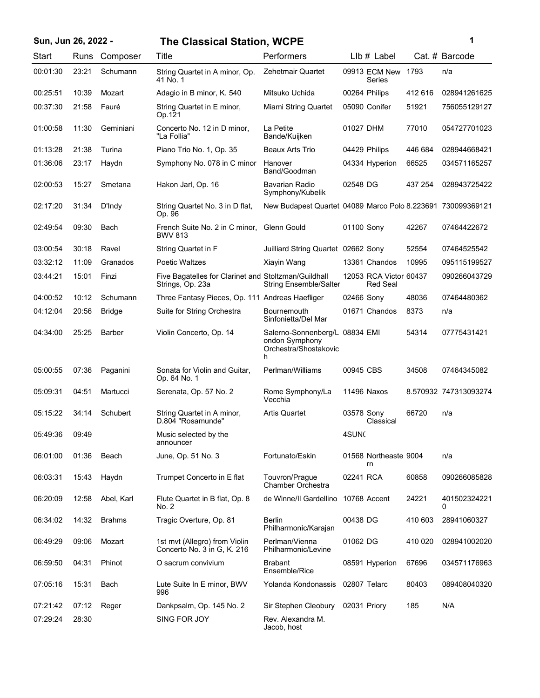| Sun, Jun 26, 2022 - |       |               | <b>The Classical Station, WCPE</b>                                       |                                                                                |                   |                                           |         | 1                     |
|---------------------|-------|---------------|--------------------------------------------------------------------------|--------------------------------------------------------------------------------|-------------------|-------------------------------------------|---------|-----------------------|
| Start               | Runs  | Composer      | Title                                                                    | Performers                                                                     |                   | LIb # Label                               |         | Cat. # Barcode        |
| 00:01:30            | 23:21 | Schumann      | String Quartet in A minor, Op.<br>41 No. 1                               | Zehetmair Quartet                                                              |                   | 09913 ECM New<br>Series                   | 1793    | n/a                   |
| 00:25:51            | 10:39 | Mozart        | Adagio in B minor, K. 540                                                | Mitsuko Uchida                                                                 | 00264 Philips     |                                           | 412 616 | 028941261625          |
| 00:37:30            | 21:58 | Fauré         | String Quartet in E minor,<br>Op.121                                     | Miami String Quartet                                                           |                   | 05090 Conifer                             | 51921   | 756055129127          |
| 01:00:58            | 11:30 | Geminiani     | Concerto No. 12 in D minor,<br>"La Follia"                               | La Petite<br>Bande/Kuijken                                                     | 01027 DHM         |                                           | 77010   | 054727701023          |
| 01:13:28            | 21:38 | Turina        | Piano Trio No. 1, Op. 35                                                 | <b>Beaux Arts Trio</b>                                                         | 04429 Philips     |                                           | 446 684 | 028944668421          |
| 01:36:06            | 23:17 | Haydn         | Symphony No. 078 in C minor                                              | Hanover<br>Band/Goodman                                                        |                   | 04334 Hyperion                            | 66525   | 034571165257          |
| 02:00:53            | 15:27 | Smetana       | Hakon Jarl, Op. 16                                                       | Bavarian Radio<br>Symphony/Kubelik                                             | 02548 DG          |                                           | 437 254 | 028943725422          |
| 02:17:20            | 31:34 | D'Indy        | String Quartet No. 3 in D flat,<br>Op. 96                                | New Budapest Quartet 04089 Marco Polo 8.223691 730099369121                    |                   |                                           |         |                       |
| 02:49:54            | 09:30 | Bach          | French Suite No. 2 in C minor,<br><b>BWV 813</b>                         | <b>Glenn Gould</b>                                                             | 01100 Sony        |                                           | 42267   | 07464422672           |
| 03:00:54            | 30:18 | Ravel         | String Quartet in F                                                      | Juilliard String Quartet 02662 Sony                                            |                   |                                           | 52554   | 07464525542           |
| 03:32:12            | 11:09 | Granados      | <b>Poetic Waltzes</b>                                                    | Xiayin Wang                                                                    |                   | 13361 Chandos                             | 10995   | 095115199527          |
| 03:44:21            | 15:01 | Finzi         | Five Bagatelles for Clarinet and Stoltzman/Guildhall<br>Strings, Op. 23a | <b>String Ensemble/Salter</b>                                                  |                   | 12053 RCA Victor 60437<br><b>Red Seal</b> |         | 090266043729          |
| 04:00:52            | 10:12 | Schumann      | Three Fantasy Pieces, Op. 111 Andreas Haefliger                          |                                                                                | 02466 Sony        |                                           | 48036   | 07464480362           |
| 04:12:04            | 20:56 | <b>Bridge</b> | Suite for String Orchestra                                               | <b>Bournemouth</b><br>Sinfonietta/Del Mar                                      |                   | 01671 Chandos                             | 8373    | n/a                   |
| 04:34:00            | 25:25 | Barber        | Violin Concerto, Op. 14                                                  | Salerno-Sonnenberg/L 08834 EMI<br>ondon Symphony<br>Orchestra/Shostakovic<br>h |                   |                                           | 54314   | 07775431421           |
| 05:00:55            | 07:36 | Paganini      | Sonata for Violin and Guitar,<br>Op. 64 No. 1                            | Perlman/Williams                                                               | 00945 CBS         |                                           | 34508   | 07464345082           |
| 05:09:31            | 04:51 | Martucci      | Serenata, Op. 57 No. 2                                                   | Rome Symphony/La<br>Vecchia                                                    | 11496 Naxos       |                                           |         | 8.570932 747313093274 |
| 05:15:22            | 34:14 | Schubert      | String Quartet in A minor,<br>D.804 "Rosamunde"                          | <b>Artis Quartet</b>                                                           | 03578 Sony        | Classical                                 | 66720   | n/a                   |
| 05:49:36            | 09:49 |               | Music selected by the<br>announcer                                       |                                                                                | 4SUN <sub>C</sub> |                                           |         |                       |
| 06:01:00            | 01:36 | Beach         | June, Op. 51 No. 3                                                       | Fortunato/Eskin                                                                |                   | 01568 Northeaste 9004<br>rn               |         | n/a                   |
| 06:03:31            | 15:43 | Haydn         | Trumpet Concerto in E flat                                               | Touvron/Prague<br>Chamber Orchestra                                            | 02241 RCA         |                                           | 60858   | 090266085828          |
| 06:20:09            | 12:58 | Abel, Karl    | Flute Quartet in B flat, Op. 8<br>No. 2                                  | de Winne/II Gardellino                                                         |                   | 10768 Accent                              | 24221   | 401502324221<br>0     |
| 06:34:02            | 14:32 | <b>Brahms</b> | Tragic Overture, Op. 81                                                  | <b>Berlin</b><br>Philharmonic/Karajan                                          | 00438 DG          |                                           | 410 603 | 28941060327           |
| 06:49:29            | 09:06 | Mozart        | 1st mvt (Allegro) from Violin<br>Concerto No. 3 in G, K. 216             | Perlman/Vienna<br>Philharmonic/Levine                                          | 01062 DG          |                                           | 410 020 | 028941002020          |
| 06:59:50            | 04:31 | Phinot        | O sacrum convivium                                                       | <b>Brabant</b><br>Ensemble/Rice                                                |                   | 08591 Hyperion                            | 67696   | 034571176963          |
| 07:05:16            | 15:31 | Bach          | Lute Suite In E minor, BWV<br>996                                        | Yolanda Kondonassis                                                            | 02807 Telarc      |                                           | 80403   | 089408040320          |
| 07:21:42            | 07:12 | Reger         | Dankpsalm, Op. 145 No. 2                                                 | Sir Stephen Cleobury                                                           | 02031 Priory      |                                           | 185     | N/A                   |
| 07:29:24            | 28:30 |               | SING FOR JOY                                                             | Rev. Alexandra M.<br>Jacob, host                                               |                   |                                           |         |                       |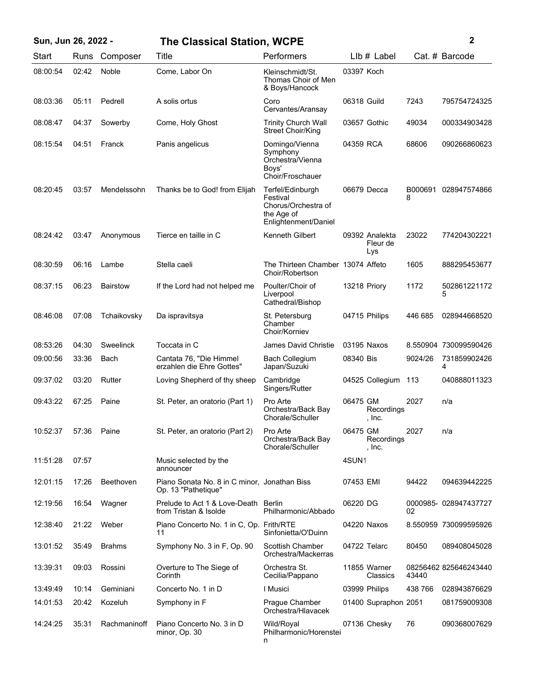| Sun, Jun 26, 2022 - |             |                 | <b>The Classical Station, WCPE</b>                                  |                                                                                           |             |                                   |              | $\mathbf{2}$          |
|---------------------|-------------|-----------------|---------------------------------------------------------------------|-------------------------------------------------------------------------------------------|-------------|-----------------------------------|--------------|-----------------------|
| Start               | Runs        | Composer        | Title                                                               | Performers                                                                                |             | $Llb#$ Label                      |              | Cat. # Barcode        |
| 08:00:54            | 02:42       | Noble           | Come, Labor On                                                      | Kleinschmidt/St.<br>Thomas Choir of Men<br>& Boys/Hancock                                 | 03397 Koch  |                                   |              |                       |
| 08:03:36            | 05:11       | Pedrell         | A solis ortus                                                       | Coro<br>Cervantes/Aransay                                                                 | 06318 Guild |                                   | 7243         | 795754724325          |
| 08:08:47            | 04:37       | Sowerby         | Come, Holy Ghost                                                    | <b>Trinity Church Wall</b><br>Street Choir/King                                           |             | 03657 Gothic                      | 49034        | 000334903428          |
| 08:15:54            | 04:51       | Franck          | Panis angelicus                                                     | Domingo/Vienna<br>Symphony<br>Orchestra/Vienna<br>Boys'<br>Choir/Froschauer               | 04359 RCA   |                                   | 68606        | 090266860623          |
| 08:20:45            | 03:57       | Mendelssohn     | Thanks be to God! from Elijah                                       | Terfel/Edinburgh<br>Festival<br>Chorus/Orchestra of<br>the Age of<br>Enlightenment/Daniel |             | 06679 Decca                       | B000691<br>8 | 028947574866          |
| 08:24:42            | 03:47       | Anonymous       | Tierce en taille in C                                               | Kenneth Gilbert                                                                           |             | 09392 Analekta<br>Fleur de<br>Lys | 23022        | 774204302221          |
| 08:30:59            | 06:16       | Lambe           | Stella caeli                                                        | The Thirteen Chamber 13074 Affeto<br>Choir/Robertson                                      |             |                                   | 1605         | 888295453677          |
| 08:37:15            | 06:23       | <b>Bairstow</b> | If the Lord had not helped me                                       | Poulter/Choir of<br>Liverpool<br>Cathedral/Bishop                                         |             | 13218 Priory                      | 1172         | 502861221172<br>5     |
| 08:46:08            | 07:08       | Tchaikovsky     | Da ispravitsya                                                      | St. Petersburg<br>Chamber<br>Choir/Korniev                                                |             | 04715 Philips                     | 446 685      | 028944668520          |
| 08:53:26            | 04:30       | Sweelinck       | Toccata in C                                                        | James David Christie                                                                      |             | 03195 Naxos                       |              | 8.550904 730099590426 |
| 09:00:56            | 33:36       | Bach            | Cantata 76, "Die Himmel<br>erzahlen die Ehre Gottes"                | Bach Collegium<br>Japan/Suzuki                                                            | 08340 Bis   |                                   | 9024/26      | 731859902426<br>4     |
| 09:37:02            | 03:20       | Rutter          | Loving Shepherd of thy sheep                                        | Cambridge<br>Singers/Rutter                                                               |             | 04525 Collegium                   | 113          | 040888011323          |
| 09:43:22            | 67:25       | Paine           | St. Peter, an oratorio (Part 1)                                     | Pro Arte<br>Orchestra/Back Bay<br>Chorale/Schuller                                        | 06475 GM    | Recordings<br>, Inc.              | 2027         | n/a                   |
| 10:52:37            | 57:36 Paine |                 | St. Peter, an oratorio (Part 2)                                     | Pro Arte<br>Orchestra/Back Bay<br>Chorale/Schuller                                        | 06475 GM    | Recordings<br>, $Inc.$            | 2027         | n/a                   |
| 11:51:28            | 07:57       |                 | Music selected by the<br>announcer                                  |                                                                                           | 4SUN1       |                                   |              |                       |
| 12:01:15            | 17:26       | Beethoven       | Piano Sonata No. 8 in C minor, Jonathan Biss<br>Op. 13 "Pathetique" |                                                                                           | 07453 EMI   |                                   | 94422        | 094639442225          |
| 12:19:56            | 16:54       | Wagner          | Prelude to Act 1 & Love-Death Berlin<br>from Tristan & Isolde       | Philharmonic/Abbado                                                                       | 06220 DG    |                                   | 02           | 0000985-028947437727  |
| 12:38:40            | 21:22       | Weber           | Piano Concerto No. 1 in C, Op. Frith/RTE<br>11                      | Sinfonietta/O'Duinn                                                                       |             | 04220 Naxos                       |              | 8.550959 730099595926 |
| 13:01:52            | 35:49       | <b>Brahms</b>   | Symphony No. 3 in F, Op. 90                                         | <b>Scottish Chamber</b><br>Orchestra/Mackerras                                            |             | 04722 Telarc                      | 80450        | 089408045028          |
| 13:39:31            | 09:03       | Rossini         | Overture to The Siege of<br>Corinth                                 | Orchestra St.<br>Cecilia/Pappano                                                          |             | 11855 Warner<br>Classics          | 43440        | 08256462 825646243440 |
| 13:49:49            | 10:14       | Geminiani       | Concerto No. 1 in D                                                 | I Musici                                                                                  |             | 03999 Philips                     | 438 766      | 028943876629          |
| 14:01:53            | 20:42       | Kozeluh         | Symphony in F                                                       | Prague Chamber<br>Orchestra/Hlavacek                                                      |             | 01400 Supraphon 2051              |              | 081759009308          |
| 14:24:25            | 35:31       | Rachmaninoff    | Piano Concerto No. 3 in D<br>minor, Op. 30                          | Wild/Royal<br>Philharmonic/Horenstei<br>n                                                 |             | 07136 Chesky                      | 76           | 090368007629          |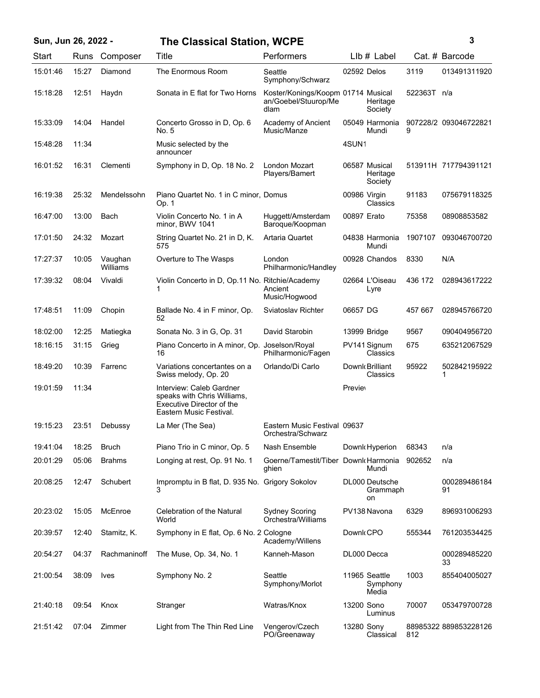| Sun, Jun 26, 2022 - |  |  |  |  |  |  |
|---------------------|--|--|--|--|--|--|
|---------------------|--|--|--|--|--|--|

## **Sun, Jun 26, 2022 - 3 The Classical Station, WCPE**

| I<br>۰.<br>×<br>۰. |
|--------------------|

| <b>Start</b> | Runs  | Composer            | Title                                                                                                           | Performers                                                         | LIb # Label                          |             | Cat. # Barcode        |
|--------------|-------|---------------------|-----------------------------------------------------------------------------------------------------------------|--------------------------------------------------------------------|--------------------------------------|-------------|-----------------------|
| 15:01:46     | 15:27 | Diamond             | The Enormous Room                                                                                               | Seattle<br>Symphony/Schwarz                                        | 02592 Delos                          | 3119        | 013491311920          |
| 15:18:28     | 12:51 | Haydn               | Sonata in E flat for Two Horns                                                                                  | Koster/Konings/Koopm 01714 Musical<br>an/Goebel/Stuurop/Me<br>dlam | Heritage<br>Society                  | 522363T n/a |                       |
| 15:33:09     | 14:04 | Handel              | Concerto Grosso in D, Op. 6<br>No. 5                                                                            | Academy of Ancient<br>Music/Manze                                  | 05049 Harmonia<br>Mundi              | 9           | 907228/2 093046722821 |
| 15:48:28     | 11:34 |                     | Music selected by the<br>announcer                                                                              |                                                                    | 4SUN1                                |             |                       |
| 16:01:52     | 16:31 | Clementi            | Symphony in D, Op. 18 No. 2                                                                                     | London Mozart<br>Players/Bamert                                    | 06587 Musical<br>Heritage<br>Society |             | 513911H 717794391121  |
| 16:19:38     | 25:32 | Mendelssohn         | Piano Quartet No. 1 in C minor, Domus<br>Op. 1                                                                  |                                                                    | 00986 Virgin<br>Classics             | 91183       | 075679118325          |
| 16:47:00     | 13:00 | Bach                | Violin Concerto No. 1 in A<br>minor, BWV 1041                                                                   | Huggett/Amsterdam<br>Baroque/Koopman                               | 00897 Erato                          | 75358       | 08908853582           |
| 17:01:50     | 24:32 | Mozart              | String Quartet No. 21 in D, K.<br>575                                                                           | Artaria Quartet                                                    | 04838 Harmonia<br>Mundi              | 1907107     | 093046700720          |
| 17:27:37     | 10:05 | Vaughan<br>Williams | Overture to The Wasps                                                                                           | London<br>Philharmonic/Handley                                     | 00928 Chandos                        | 8330        | N/A                   |
| 17:39:32     | 08:04 | Vivaldi             | Violin Concerto in D, Op.11 No. Ritchie/Academy<br>1                                                            | Ancient<br>Music/Hogwood                                           | 02664 L'Oiseau<br>Lyre               | 436 172     | 028943617222          |
| 17:48:51     | 11:09 | Chopin              | Ballade No. 4 in F minor, Op.<br>52                                                                             | Sviatoslav Richter                                                 | 06657 DG                             | 457 667     | 028945766720          |
| 18:02:00     | 12:25 | Matiegka            | Sonata No. 3 in G, Op. 31                                                                                       | David Starobin                                                     | 13999 Bridge                         | 9567        | 090404956720          |
| 18:16:15     | 31:15 | Grieg               | Piano Concerto in A minor, Op.<br>16                                                                            | Joselson/Royal<br>Philharmonic/Fagen                               | PV141 Signum<br>Classics             | 675         | 635212067529          |
| 18:49:20     | 10:39 | Farrenc             | Variations concertantes on a<br>Swiss melody, Op. 20                                                            | Orlando/Di Carlo                                                   | Downk Brilliant<br><b>Classics</b>   | 95922       | 502842195922<br>1     |
| 19:01:59     | 11:34 |                     | Interview: Caleb Gardner<br>speaks with Chris Williams,<br>Executive Director of the<br>Eastern Music Festival. |                                                                    | <b>Previet</b>                       |             |                       |
| 19:15:23     | 23:51 | Debussy             | La Mer (The Sea)                                                                                                | Eastern Music Festival 09637<br>Orchestra/Schwarz                  |                                      |             |                       |
| 19:41:04     | 18:25 | <b>Bruch</b>        | Piano Trio in C minor, Op. 5                                                                                    | Nash Ensemble                                                      | Downk Hyperion                       | 68343       | n/a                   |
| 20:01:29     | 05:06 | <b>Brahms</b>       | Longing at rest, Op. 91 No. 1                                                                                   | Goerne/Tamestit/Tiber Downk Harmonia<br>ghien                      | Mundi                                | 902652      | n/a                   |
| 20:08:25     | 12:47 | Schubert            | Impromptu in B flat, D. 935 No. Grigory Sokolov<br>3                                                            |                                                                    | DL000 Deutsche<br>Grammaph<br>on     |             | 000289486184<br>91    |
| 20:23:02     | 15:05 | McEnroe             | Celebration of the Natural<br>World                                                                             | <b>Sydney Scoring</b><br>Orchestra/Williams                        | PV138 Navona                         | 6329        | 896931006293          |
| 20:39:57     | 12:40 | Stamitz, K.         | Symphony in E flat, Op. 6 No. 2 Cologne                                                                         | Academy/Willens                                                    | Downk CPO                            | 555344      | 761203534425          |
| 20:54:27     | 04:37 | Rachmaninoff        | The Muse, Op. 34, No. 1                                                                                         | Kanneh-Mason                                                       | DL000 Decca                          |             | 000289485220<br>33    |
| 21:00:54     | 38:09 | <b>Ives</b>         | Symphony No. 2                                                                                                  | Seattle<br>Symphony/Morlot                                         | 11965 Seattle<br>Symphony<br>Media   | 1003        | 855404005027          |
| 21:40:18     | 09:54 | Knox                | Stranger                                                                                                        | Watras/Knox                                                        | 13200 Sono<br>Luminus                | 70007       | 053479700728          |
| 21:51:42     | 07:04 | Zimmer              | Light from The Thin Red Line                                                                                    | Vengerov/Czech<br>PO/Greenaway                                     | 13280 Sony<br>Classical              | 812         | 88985322 889853228126 |